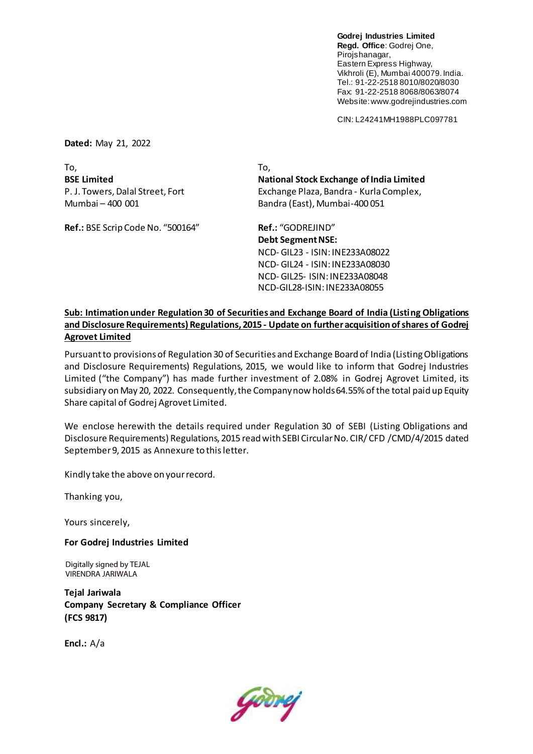**Godrej Industries Limited Regd. Office**: Godrej One, Pirojshanagar, Eastern Express Highway, Vikhroli (E), Mumbai 400079. India. Tel.: 91-22-2518 8010/8020/8030 Fax: 91-22-2518 8068/8063/8074 Website: www.godrejindustries.com

CIN: L24241MH1988PLC097781

**Dated:** May 21, 2022

To, To,

**Ref.:** BSE Scrip Code No. "500164" **Ref.:** "GODREJIND"

**BSE Limited National Stock Exchange of India Limited** P. J. Towers, Dalal Street, Fort Exchange Plaza, Bandra - Kurla Complex, Mumbai – 400 001 Bandra (East), Mumbai-400 051

> **Debt Segment NSE:** NCD- GIL23 - ISIN: INE233A08022 NCD- GIL24 - ISIN: INE233A08030 NCD- GIL25- ISIN: INE233A08048 NCD-GIL28-ISIN: INE233A08055

## **Sub: Intimation under Regulation 30 of Securities and Exchange Board of India (Listing Obligations and Disclosure Requirements) Regulations, 2015 - Update on further acquisition of shares of Godrej Agrovet Limited**

Pursuant to provisions of Regulation 30 of Securities and Exchange Board of India (Listing Obligations and Disclosure Requirements) Regulations, 2015, we would like to inform that Godrej Industries Limited ("the Company") has made further investment of 2.08% in Godrej Agrovet Limited, its subsidiary on May 20, 2022. Consequently, the Company now holds 64.55% of the total paid up Equity Share capital of Godrej Agrovet Limited.

We enclose herewith the details required under Regulation 30 of SEBI (Listing Obligations and Disclosure Requirements) Regulations, 2015 read with SEBI Circular No. CIR/ CFD /CMD/4/2015 dated September 9, 2015 as Annexure to this letter.

Kindly take the above on your record.

Thanking you,

Yours sincerely,

## **For Godrej Industries Limited**

Digitally signed by TEJAL VIRENDRA JARIWALA

**Tejal Jariwala Company Secretary & Compliance Officer (FCS 9817)**

**Encl.:** A/a

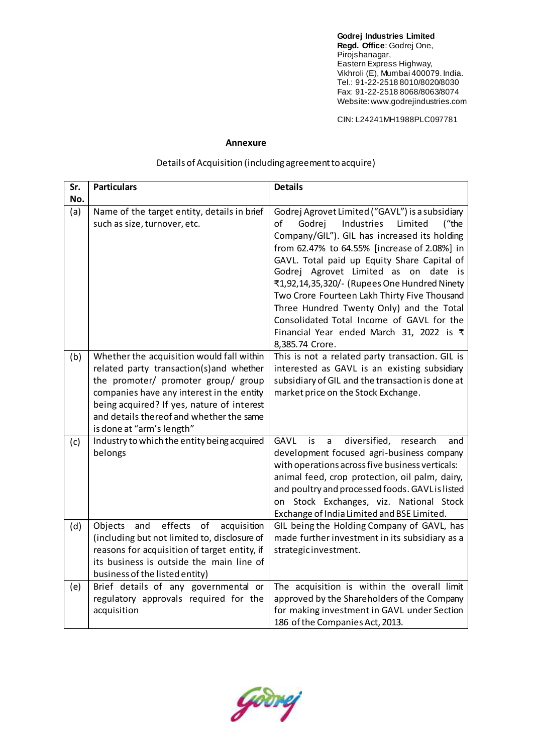**Godrej Industries Limited Regd. Office**: Godrej One, Pirojshanagar, Eastern Express Highway, Vikhroli (E), Mumbai 400079. India. Tel.: 91-22-2518 8010/8020/8030 Fax: 91-22-2518 8068/8063/8074 Website: www.godrejindustries.com

CIN: L24241MH1988PLC097781

## **Annexure**

## Details of Acquisition (including agreement to acquire)

| Sr.<br>No. | <b>Particulars</b>                                                                                                                                                                                                                                                                               | <b>Details</b>                                                                                                                                                                                                                                                                                                                                                                                                                                                                                                                                      |
|------------|--------------------------------------------------------------------------------------------------------------------------------------------------------------------------------------------------------------------------------------------------------------------------------------------------|-----------------------------------------------------------------------------------------------------------------------------------------------------------------------------------------------------------------------------------------------------------------------------------------------------------------------------------------------------------------------------------------------------------------------------------------------------------------------------------------------------------------------------------------------------|
| (a)        | Name of the target entity, details in brief<br>such as size, turnover, etc.                                                                                                                                                                                                                      | Godrej Agrovet Limited ("GAVL") is a subsidiary<br>οf<br>Godrej<br>Industries<br>Limited<br>("the<br>Company/GIL"). GIL has increased its holding<br>from 62.47% to 64.55% [increase of 2.08%] in<br>GAVL. Total paid up Equity Share Capital of<br>Godrej Agrovet Limited as on<br>date is<br>₹1,92,14,35,320/- (Rupees One Hundred Ninety<br>Two Crore Fourteen Lakh Thirty Five Thousand<br>Three Hundred Twenty Only) and the Total<br>Consolidated Total Income of GAVL for the<br>Financial Year ended March 31, 2022 is ₹<br>8,385.74 Crore. |
| (b)        | Whether the acquisition would fall within<br>related party transaction(s) and whether<br>the promoter/ promoter group/ group<br>companies have any interest in the entity<br>being acquired? If yes, nature of interest<br>and details thereof and whether the same<br>is done at "arm's length" | This is not a related party transaction. GIL is<br>interested as GAVL is an existing subsidiary<br>subsidiary of GIL and the transaction is done at<br>market price on the Stock Exchange.                                                                                                                                                                                                                                                                                                                                                          |
| (c)        | Industry to which the entity being acquired<br>belongs                                                                                                                                                                                                                                           | <b>GAVL</b><br>diversified,<br>is<br>research<br>a<br>and<br>development focused agri-business company<br>with operations across five business verticals:<br>animal feed, crop protection, oil palm, dairy,<br>and poultry and processed foods. GAVL is listed<br>on Stock Exchanges, viz. National Stock<br>Exchange of India Limited and BSE Limited.                                                                                                                                                                                             |
| (d)        | effects<br>and<br>of<br>acquisition<br>Objects<br>(including but not limited to, disclosure of<br>reasons for acquisition of target entity, if<br>its business is outside the main line of<br>business of the listed entity)                                                                     | GIL being the Holding Company of GAVL, has<br>made further investment in its subsidiary as a<br>strategic investment.                                                                                                                                                                                                                                                                                                                                                                                                                               |
| (e)        | Brief details of any governmental or<br>regulatory approvals required for the<br>acquisition                                                                                                                                                                                                     | The acquisition is within the overall limit<br>approved by the Shareholders of the Company<br>for making investment in GAVL under Section<br>186 of the Companies Act, 2013.                                                                                                                                                                                                                                                                                                                                                                        |